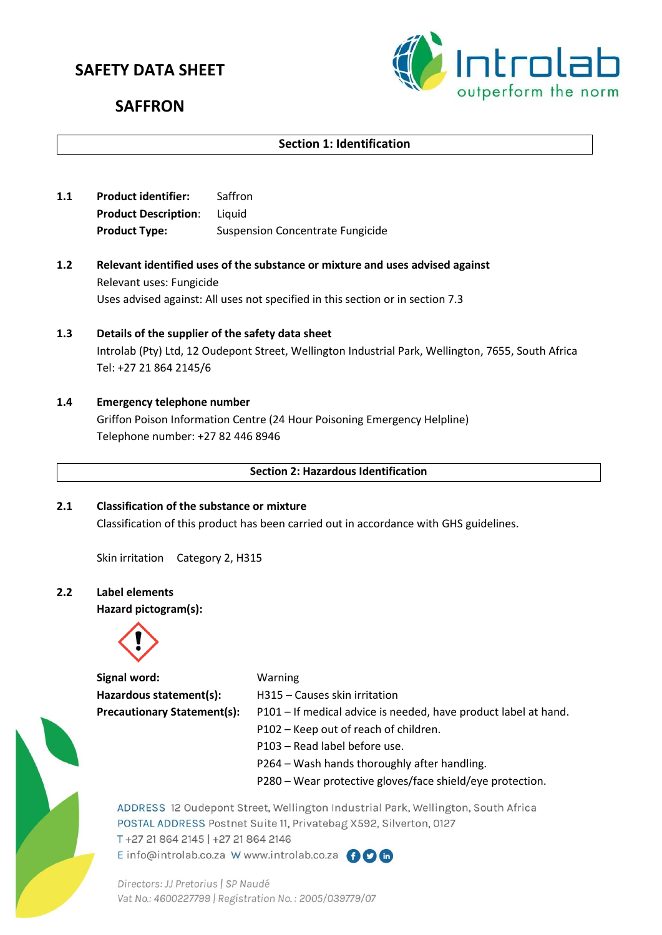# **SAFETY DATA SHEET**



# **SAFFRON**

# **Section 1: Identification**

- **1.1 Product identifier:** Saffron **Product Description**: Liquid Product Type: Suspension Concentrate Fungicide
- **1.2 Relevant identified uses of the substance or mixture and uses advised against** Relevant uses: Fungicide Uses advised against: All uses not specified in this section or in section 7.3
- **1.3 Details of the supplier of the safety data sheet** Introlab (Pty) Ltd, 12 Oudepont Street, Wellington Industrial Park, Wellington, 7655, South Africa Tel: +27 21 864 2145/6
- **1.4 Emergency telephone number** Griffon Poison Information Centre (24 Hour Poisoning Emergency Helpline) Telephone number: +27 82 446 8946

**Section 2: Hazardous Identification**

**2.1 Classification of the substance or mixture** Classification of this product has been carried out in accordance with GHS guidelines.

Skin irritation Category 2, H315

**2.2 Label elements**

**Hazard pictogram(s):**



**Signal word:** Warning

Hazardous statement(s): H315 – Causes skin irritation **Precautionary Statement(s):** P101 – If medical advice is needed, have product label at hand. P102 – Keep out of reach of children. P103 – Read label before use.

- P264 Wash hands thoroughly after handling.
- P280 Wear protective gloves/face shield/eye protection.



ADDRESS 12 Oudepont Street, Wellington Industrial Park, Wellington, South Africa POSTAL ADDRESS Postnet Suite 11, Privatebag X592, Silverton, 0127 T +27 21 864 2145 | +27 21 864 2146 E info@introlab.co.za W www.introlab.co.za AOM

Directors: JJ Pretorius | SP Naudé Vat No.: 4600227799 | Registration No.: 2005/039779/07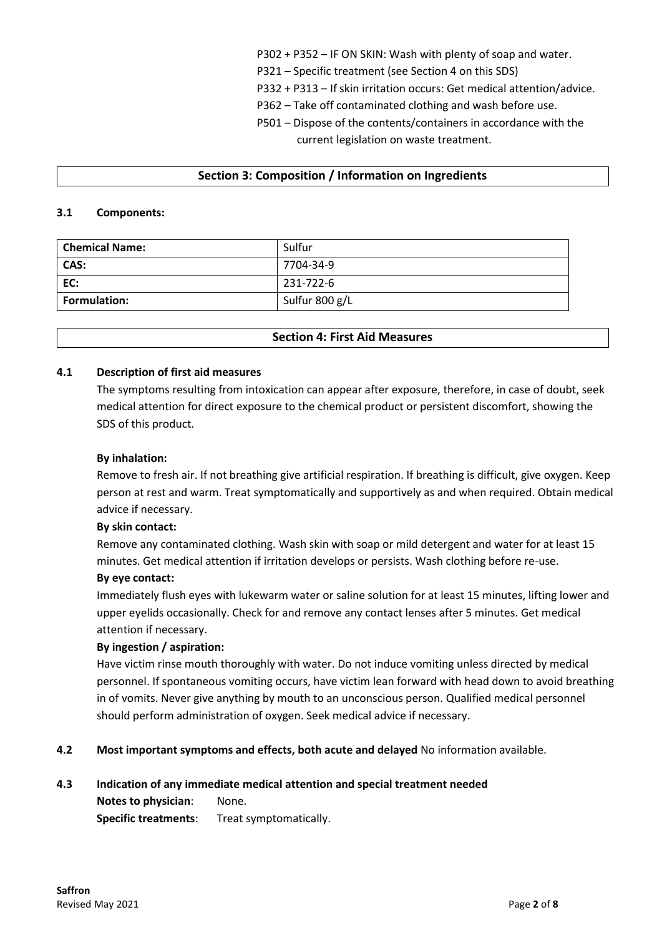- P302 + P352 IF ON SKIN: Wash with plenty of soap and water.
- P321 Specific treatment (see Section 4 on this SDS)
- P332 + P313 If skin irritation occurs: Get medical attention/advice.
- P362 Take off contaminated clothing and wash before use.
- P501 Dispose of the contents/containers in accordance with the current legislation on waste treatment.

# **Section 3: Composition / Information on Ingredients**

# **3.1 Components:**

| <b>Chemical Name:</b> | Sulfur         |
|-----------------------|----------------|
| CAS:                  | 7704-34-9      |
| EC:                   | 231-722-6      |
| <b>Formulation:</b>   | Sulfur 800 g/L |

# **Section 4: First Aid Measures**

# **4.1 Description of first aid measures**

The symptoms resulting from intoxication can appear after exposure, therefore, in case of doubt, seek medical attention for direct exposure to the chemical product or persistent discomfort, showing the SDS of this product.

# **By inhalation:**

Remove to fresh air. If not breathing give artificial respiration. If breathing is difficult, give oxygen. Keep person at rest and warm. Treat symptomatically and supportively as and when required. Obtain medical advice if necessary.

#### **By skin contact:**

Remove any contaminated clothing. Wash skin with soap or mild detergent and water for at least 15 minutes. Get medical attention if irritation develops or persists. Wash clothing before re-use.

# **By eye contact:**

Immediately flush eyes with lukewarm water or saline solution for at least 15 minutes, lifting lower and upper eyelids occasionally. Check for and remove any contact lenses after 5 minutes. Get medical attention if necessary.

#### **By ingestion / aspiration:**

Have victim rinse mouth thoroughly with water. Do not induce vomiting unless directed by medical personnel. If spontaneous vomiting occurs, have victim lean forward with head down to avoid breathing in of vomits. Never give anything by mouth to an unconscious person. Qualified medical personnel should perform administration of oxygen. Seek medical advice if necessary.

#### **4.2 Most important symptoms and effects, both acute and delayed** No information available.

#### **4.3 Indication of any immediate medical attention and special treatment needed**

**Notes to physician**: None. **Specific treatments**: Treat symptomatically.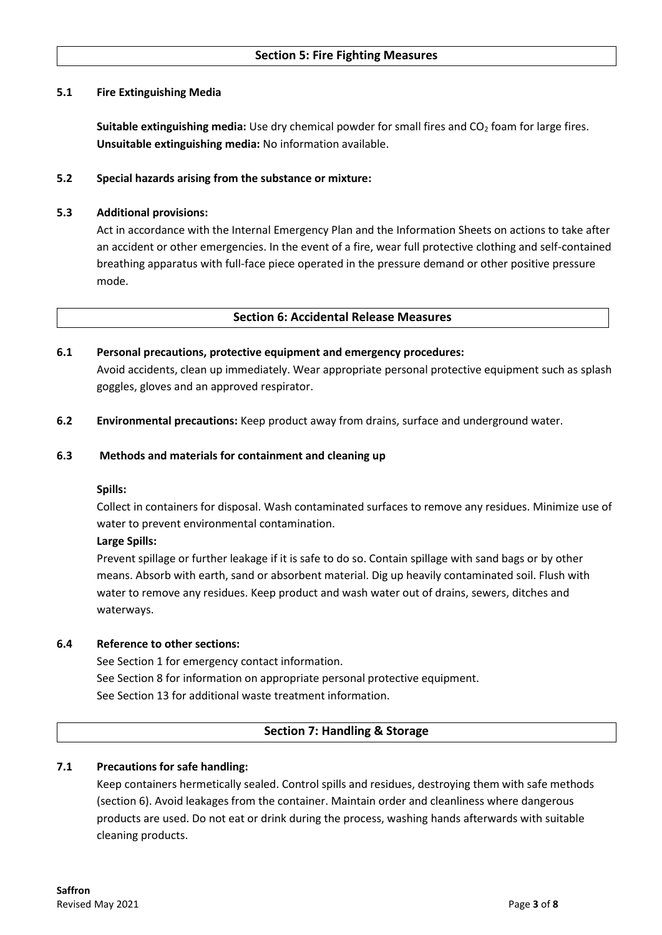# **5.1 Fire Extinguishing Media**

**Suitable extinguishing media:** Use dry chemical powder for small fires and CO<sub>2</sub> foam for large fires. **Unsuitable extinguishing media:** No information available.

# **5.2 Special hazards arising from the substance or mixture:**

# **5.3 Additional provisions:**

Act in accordance with the Internal Emergency Plan and the Information Sheets on actions to take after an accident or other emergencies. In the event of a fire, wear full protective clothing and self-contained breathing apparatus with full-face piece operated in the pressure demand or other positive pressure mode.

#### **Section 6: Accidental Release Measures**

# **6.1 Personal precautions, protective equipment and emergency procedures:**

Avoid accidents, clean up immediately. Wear appropriate personal protective equipment such as splash goggles, gloves and an approved respirator.

**6.2 Environmental precautions:** Keep product away from drains, surface and underground water.

#### **6.3 Methods and materials for containment and cleaning up**

#### **Spills:**

Collect in containers for disposal. Wash contaminated surfaces to remove any residues. Minimize use of water to prevent environmental contamination.

#### **Large Spills:**

Prevent spillage or further leakage if it is safe to do so. Contain spillage with sand bags or by other means. Absorb with earth, sand or absorbent material. Dig up heavily contaminated soil. Flush with water to remove any residues. Keep product and wash water out of drains, sewers, ditches and waterways.

#### **6.4 Reference to other sections:**

See Section 1 for emergency contact information. See Section 8 for information on appropriate personal protective equipment. See Section 13 for additional waste treatment information.

# **Section 7: Handling & Storage**

# **7.1 Precautions for safe handling:**

Keep containers hermetically sealed. Control spills and residues, destroying them with safe methods (section 6). Avoid leakages from the container. Maintain order and cleanliness where dangerous products are used. Do not eat or drink during the process, washing hands afterwards with suitable cleaning products.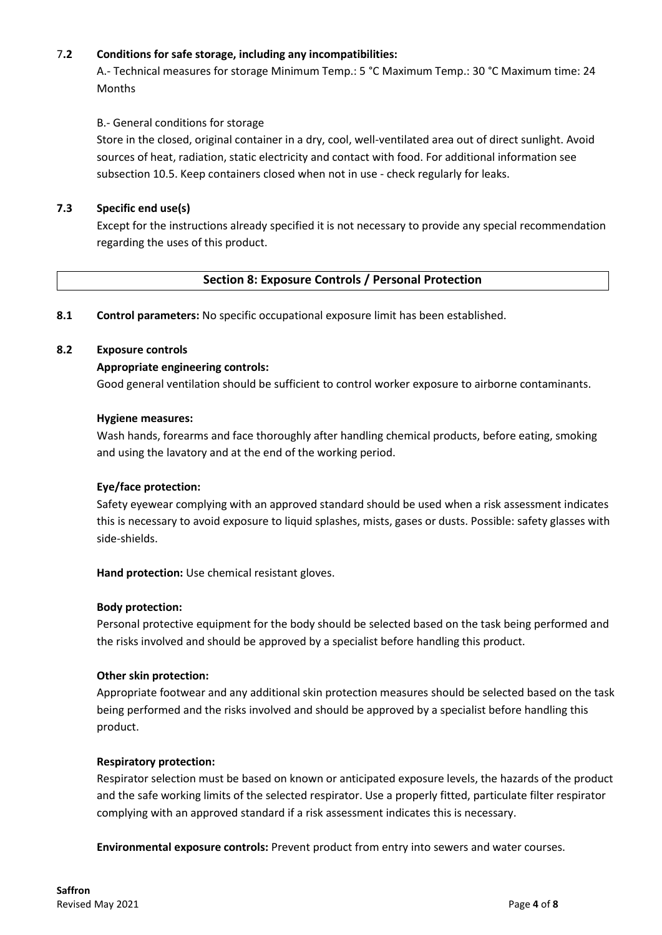# 7**.2 Conditions for safe storage, including any incompatibilities:**

A.- Technical measures for storage Minimum Temp.: 5 °C Maximum Temp.: 30 °C Maximum time: 24 Months

#### B.- General conditions for storage

Store in the closed, original container in a dry, cool, well-ventilated area out of direct sunlight. Avoid sources of heat, radiation, static electricity and contact with food. For additional information see subsection 10.5. Keep containers closed when not in use - check regularly for leaks.

#### **7.3 Specific end use(s)**

Except for the instructions already specified it is not necessary to provide any special recommendation regarding the uses of this product.

# **Section 8: Exposure Controls / Personal Protection**

**8.1 Control parameters:** No specific occupational exposure limit has been established.

#### **8.2 Exposure controls**

# **Appropriate engineering controls:**

Good general ventilation should be sufficient to control worker exposure to airborne contaminants.

#### **Hygiene measures:**

Wash hands, forearms and face thoroughly after handling chemical products, before eating, smoking and using the lavatory and at the end of the working period.

#### **Eye/face protection:**

Safety eyewear complying with an approved standard should be used when a risk assessment indicates this is necessary to avoid exposure to liquid splashes, mists, gases or dusts. Possible: safety glasses with side-shields.

**Hand protection:** Use chemical resistant gloves.

#### **Body protection:**

Personal protective equipment for the body should be selected based on the task being performed and the risks involved and should be approved by a specialist before handling this product.

#### **Other skin protection:**

Appropriate footwear and any additional skin protection measures should be selected based on the task being performed and the risks involved and should be approved by a specialist before handling this product.

#### **Respiratory protection:**

Respirator selection must be based on known or anticipated exposure levels, the hazards of the product and the safe working limits of the selected respirator. Use a properly fitted, particulate filter respirator complying with an approved standard if a risk assessment indicates this is necessary.

**Environmental exposure controls:** Prevent product from entry into sewers and water courses.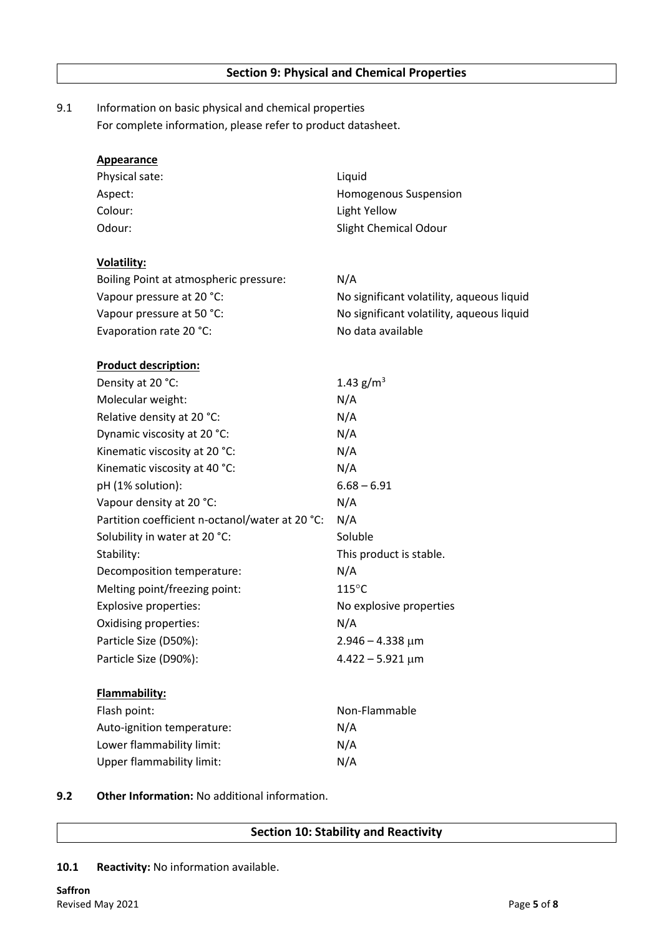# 9.1 Information on basic physical and chemical properties For complete information, please refer to product datasheet.

| <b>Appearance</b>                               |                                           |  |
|-------------------------------------------------|-------------------------------------------|--|
| Physical sate:                                  | Liquid                                    |  |
| Aspect:                                         | Homogenous Suspension                     |  |
| Colour:                                         | Light Yellow                              |  |
| Odour:                                          | <b>Slight Chemical Odour</b>              |  |
| <b>Volatility:</b>                              |                                           |  |
| Boiling Point at atmospheric pressure:          | N/A                                       |  |
| Vapour pressure at 20 °C:                       | No significant volatility, aqueous liquid |  |
| Vapour pressure at 50 °C:                       | No significant volatility, aqueous liquid |  |
| Evaporation rate 20 °C:                         | No data available                         |  |
| <b>Product description:</b>                     |                                           |  |
| Density at 20 °C:                               | 1.43 $g/m^3$                              |  |
| Molecular weight:                               | N/A                                       |  |
| Relative density at 20 °C:                      | N/A                                       |  |
| Dynamic viscosity at 20 °C:                     | N/A                                       |  |
| Kinematic viscosity at 20 °C:                   | N/A                                       |  |
| Kinematic viscosity at 40 °C:                   | N/A                                       |  |
| pH (1% solution):                               | $6.68 - 6.91$                             |  |
| Vapour density at 20 °C:                        | N/A                                       |  |
| Partition coefficient n-octanol/water at 20 °C: | N/A                                       |  |
| Solubility in water at 20 °C:                   | Soluble                                   |  |
| Stability:                                      | This product is stable.                   |  |
| Decomposition temperature:                      | N/A                                       |  |
| Melting point/freezing point:                   | $115^{\circ}$ C                           |  |
| Explosive properties:                           | No explosive properties                   |  |
| Oxidising properties:                           | N/A                                       |  |
| Particle Size (D50%):                           | $2.946 - 4.338 \mu m$                     |  |
| Particle Size (D90%):                           | $4.422 - 5.921 \,\mu m$                   |  |
| Flammability:                                   |                                           |  |
| Flash point:                                    | Non-Flammable                             |  |
| Auto-ignition temperature:                      | N/A                                       |  |
| Lower flammability limit:                       | N/A                                       |  |
| <b>Upper flammability limit:</b>                | N/A                                       |  |

#### **9.2 Other Information:** No additional information.

# **Section 10: Stability and Reactivity**

**10.1 Reactivity:** No information available.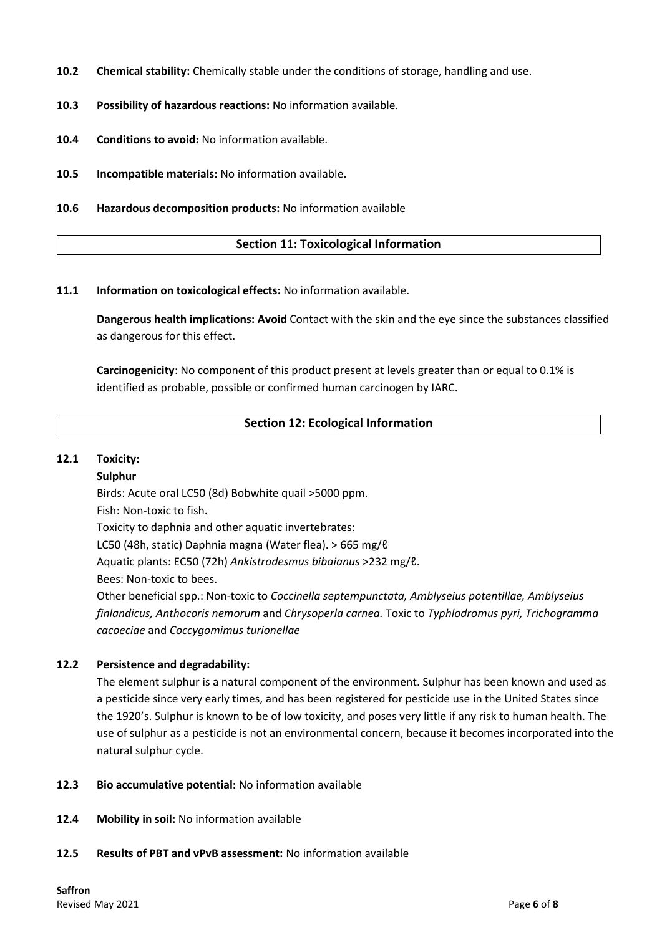- **10.2 Chemical stability:** Chemically stable under the conditions of storage, handling and use.
- **10.3 Possibility of hazardous reactions:** No information available.
- **10.4 Conditions to avoid:** No information available.
- **10.5 Incompatible materials:** No information available.
- **10.6 Hazardous decomposition products:** No information available

# **Section 11: Toxicological Information**

**11.1 Information on toxicological effects:** No information available.

**Dangerous health implications: Avoid** Contact with the skin and the eye since the substances classified as dangerous for this effect.

**Carcinogenicity**: No component of this product present at levels greater than or equal to 0.1% is identified as probable, possible or confirmed human carcinogen by IARC.

# **Section 12: Ecological Information**

#### **12.1 Toxicity:**

#### **Sulphur**

Birds: Acute oral LC50 (8d) Bobwhite quail >5000 ppm. Fish: Non-toxic to fish. Toxicity to daphnia and other aquatic invertebrates: LC50 (48h, static) Daphnia magna (Water flea). > 665 mg/ℓ Aquatic plants: EC50 (72h) *Ankistrodesmus bibaianus* >232 mg/ℓ. Bees: Non-toxic to bees. Other beneficial spp.: Non-toxic to *Coccinella septempunctata, Amblyseius potentillae, Amblyseius finlandicus, Anthocoris nemorum* and *Chrysoperla carnea.* Toxic to *Typhlodromus pyri, Trichogramma cacoeciae* and *Coccygomimus turionellae*

#### **12.2 Persistence and degradability:**

The element sulphur is a natural component of the environment. Sulphur has been known and used as a pesticide since very early times, and has been registered for pesticide use in the United States since the 1920's. Sulphur is known to be of low toxicity, and poses very little if any risk to human health. The use of sulphur as a pesticide is not an environmental concern, because it becomes incorporated into the natural sulphur cycle.

- **12.3 Bio accumulative potential:** No information available
- **12.4 Mobility in soil:** No information available
- **12.5 Results of PBT and vPvB assessment:** No information available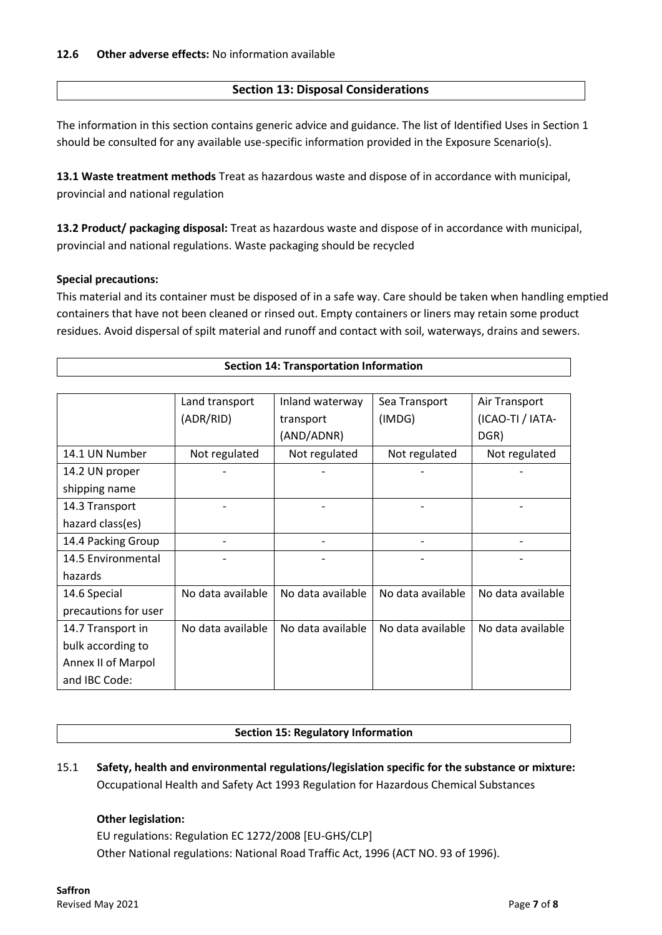# **Section 13: Disposal Considerations**

The information in this section contains generic advice and guidance. The list of Identified Uses in Section 1 should be consulted for any available use-specific information provided in the Exposure Scenario(s).

**13.1 Waste treatment methods** Treat as hazardous waste and dispose of in accordance with municipal, provincial and national regulation

**13.2 Product/ packaging disposal:** Treat as hazardous waste and dispose of in accordance with municipal, provincial and national regulations. Waste packaging should be recycled

# **Special precautions:**

This material and its container must be disposed of in a safe way. Care should be taken when handling emptied containers that have not been cleaned or rinsed out. Empty containers or liners may retain some product residues. Avoid dispersal of spilt material and runoff and contact with soil, waterways, drains and sewers.

| <b>Section 14: Transportation Information</b> |                   |                   |                   |                   |  |  |
|-----------------------------------------------|-------------------|-------------------|-------------------|-------------------|--|--|
|                                               |                   |                   |                   |                   |  |  |
|                                               | Land transport    | Inland waterway   | Sea Transport     | Air Transport     |  |  |
|                                               | (ADR/RID)         | transport         | (IMDG)            | (ICAO-TI / IATA-  |  |  |
|                                               |                   | (AND/ADNR)        |                   | DGR)              |  |  |
| 14.1 UN Number                                | Not regulated     | Not regulated     | Not regulated     | Not regulated     |  |  |
| 14.2 UN proper                                |                   |                   |                   |                   |  |  |
| shipping name                                 |                   |                   |                   |                   |  |  |
| 14.3 Transport                                |                   |                   |                   |                   |  |  |
| hazard class(es)                              |                   |                   |                   |                   |  |  |
| 14.4 Packing Group                            |                   |                   |                   |                   |  |  |
| 14.5 Environmental                            |                   |                   |                   |                   |  |  |
| hazards                                       |                   |                   |                   |                   |  |  |
| 14.6 Special                                  | No data available | No data available | No data available | No data available |  |  |
| precautions for user                          |                   |                   |                   |                   |  |  |
| 14.7 Transport in                             | No data available | No data available | No data available | No data available |  |  |
| bulk according to                             |                   |                   |                   |                   |  |  |
| Annex II of Marpol                            |                   |                   |                   |                   |  |  |
| and IBC Code:                                 |                   |                   |                   |                   |  |  |

# **Section 15: Regulatory Information**

15.1 **Safety, health and environmental regulations/legislation specific for the substance or mixture:** Occupational Health and Safety Act 1993 Regulation for Hazardous Chemical Substances

#### **Other legislation:**

EU regulations: Regulation EC 1272/2008 [EU-GHS/CLP] Other National regulations: National Road Traffic Act, 1996 (ACT NO. 93 of 1996).